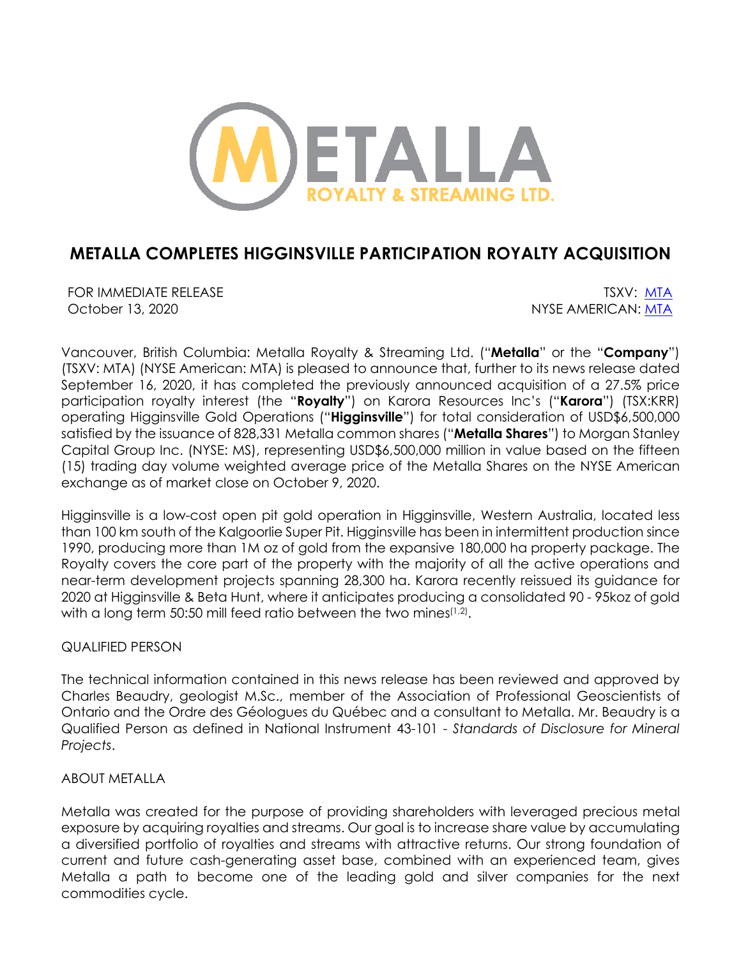

# **METALLA COMPLETES HIGGINSVILLE PARTICIPATION ROYALTY ACQUISITION**

FOR IMMEDIATE RELEASE THE SECOND SERVICE SERVICE SERVICE SERVICE SERVICE SERVICE SERVICE SERVICE SERVICE SERVICE SERVICE SERVICE SERVICE SERVICE SERVICE SERVICE SERVICE SERVICE SERVICE SERVICE SERVICE SERVICE SERVICE SERVI October 13, 2020 NYSE AMERICAN: MTA

Vancouver, British Columbia: Metalla Royalty & Streaming Ltd. ("**Metalla**" or the "**Company**") (TSXV: MTA) (NYSE American: MTA) is pleased to announce that, further to its news release dated September 16, 2020, it has completed the previously announced acquisition of a 27.5% price participation royalty interest (the "**Royalty**") on Karora Resources Inc's ("**Karora**") (TSX:KRR) operating Higginsville Gold Operations ("**Higginsville**") for total consideration of USD\$6,500,000 satisfied by the issuance of 828,331 Metalla common shares ("**Metalla Shares**") to Morgan Stanley Capital Group Inc. (NYSE: MS), representing USD\$6,500,000 million in value based on the fifteen (15) trading day volume weighted average price of the Metalla Shares on the NYSE American exchange as of market close on October 9, 2020.

Higginsville is a low-cost open pit gold operation in Higginsville, Western Australia, located less than 100 km south of the Kalgoorlie Super Pit. Higginsville has been in intermittent production since 1990, producing more than 1M oz of gold from the expansive 180,000 ha property package. The Royalty covers the core part of the property with the majority of all the active operations and near-term development projects spanning 28,300 ha. Karora recently reissued its guidance for 2020 at Higginsville & Beta Hunt, where it anticipates producing a consolidated 90 - 95koz of gold with a long term 50:50 mill feed ratio between the two mines<sup> $(1,2)$ </sup>.

## QUALIFIED PERSON

The technical information contained in this news release has been reviewed and approved by Charles Beaudry, geologist M.Sc., member of the Association of Professional Geoscientists of Ontario and the Ordre des Géologues du Québec and a consultant to Metalla. Mr. Beaudry is a Qualified Person as defined in National Instrument 43-101 - *Standards of Disclosure for Mineral Projects*.

### ABOUT METALLA

Metalla was created for the purpose of providing shareholders with leveraged precious metal exposure by acquiring royalties and streams. Our goal is to increase share value by accumulating a diversified portfolio of royalties and streams with attractive returns. Our strong foundation of current and future cash-generating asset base, combined with an experienced team, gives Metalla a path to become one of the leading gold and silver companies for the next commodities cycle.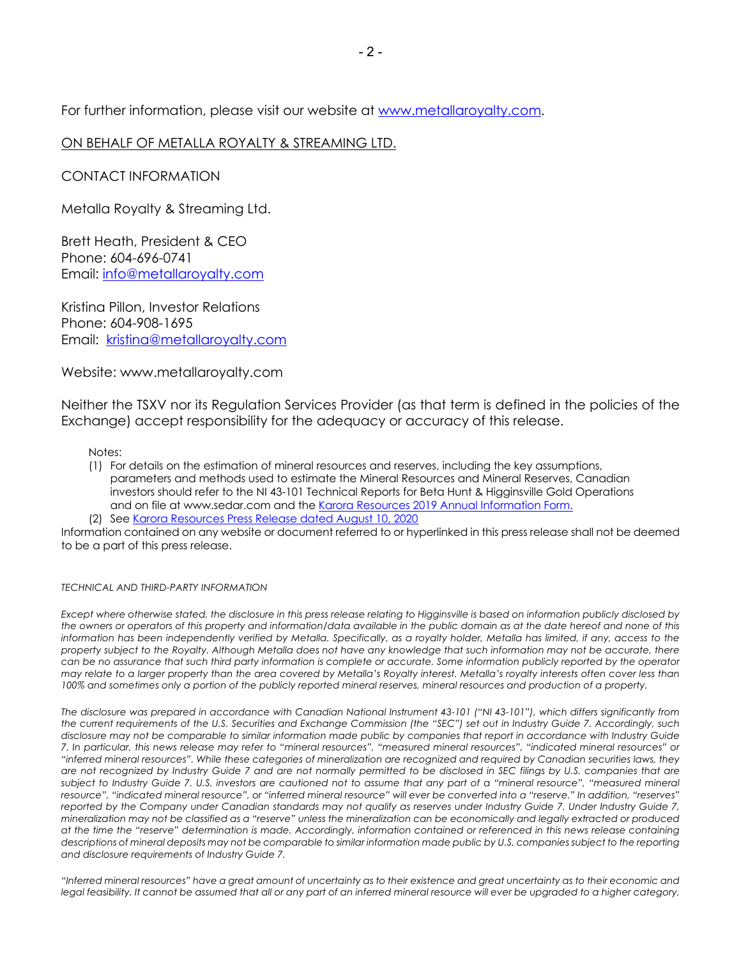For further information, please visit our website at www.metallaroyalty.com.

#### ON BEHALF OF METALLA ROYALTY & STREAMING LTD.

CONTACT INFORMATION

Metalla Royalty & Streaming Ltd.

Brett Heath, President & CEO Phone: 604-696-0741 Email: info@metallaroyalty.com

Kristina Pillon, Investor Relations Phone: 604-908-1695 Email: kristina@metallaroyalty.com

Website: www.metallaroyalty.com

Neither the TSXV nor its Regulation Services Provider (as that term is defined in the policies of the Exchange) accept responsibility for the adequacy or accuracy of this release.

Notes:

- (1) For details on the estimation of mineral resources and reserves, including the key assumptions, parameters and methods used to estimate the Mineral Resources and Mineral Reserves, Canadian investors should refer to the NI 43-101 Technical Reports for Beta Hunt & Higginsville Gold Operations and on file at www.sedar.com and the Karora Resources 2019 Annual Information Form.
- (2) See Karora Resources Press Release dated August 10, 2020

Information contained on any website or document referred to or hyperlinked in this press release shall not be deemed to be a part of this press release.

#### *TECHNICAL AND THIRD-PARTY INFORMATION*

Except where otherwise stated, the disclosure in this press release relating to Higginsville is based on information publicly disclosed by *the owners or operators of this property and information/data available in the public domain as at the date hereof and none of this information has been independently verified by Metalla. Specifically, as a royalty holder, Metalla has limited, if any, access to the property subject to the Royalty. Although Metalla does not have any knowledge that such information may not be accurate, there can be no assurance that such third party information is complete or accurate. Some information publicly reported by the operator may relate to a larger property than the area covered by Metalla's Royalty interest. Metalla's royalty interests often cover less than 100% and sometimes only a portion of the publicly reported mineral reserves, mineral resources and production of a property.*

*The disclosure was prepared in accordance with Canadian National Instrument 43-101 ("NI 43-101"), which differs significantly from the current requirements of the U.S. Securities and Exchange Commission (the "SEC") set out in Industry Guide 7. Accordingly, such disclosure may not be comparable to similar information made public by companies that report in accordance with Industry Guide 7. In particular, this news release may refer to "mineral resources", "measured mineral resources", "indicated mineral resources" or "inferred mineral resources". While these categories of mineralization are recognized and required by Canadian securities laws, they are not recognized by Industry Guide 7 and are not normally permitted to be disclosed in SEC filings by U.S. companies that are*  subject to Industry Guide 7. U.S. investors are cautioned not to assume that any part of a "mineral resource", "measured mineral *resource", "indicated mineral resource", or "inferred mineral resource" will ever be converted into a "reserve." In addition, "reserves" reported by the Company under Canadian standards may not qualify as reserves under Industry Guide 7. Under Industry Guide 7, mineralization may not be classified as a "reserve" unless the mineralization can be economically and legally extracted or produced at the time the "reserve" determination is made. Accordingly, information contained or referenced in this news release containing descriptions of mineral deposits may not be comparable to similar information made public by U.S. companies subject to the reporting and disclosure requirements of Industry Guide 7.*

*"Inferred mineral resources" have a great amount of uncertainty as to their existence and great uncertainty as to their economic and*  legal feasibility. It cannot be assumed that all or any part of an inferred mineral resource will ever be upgraded to a higher category.